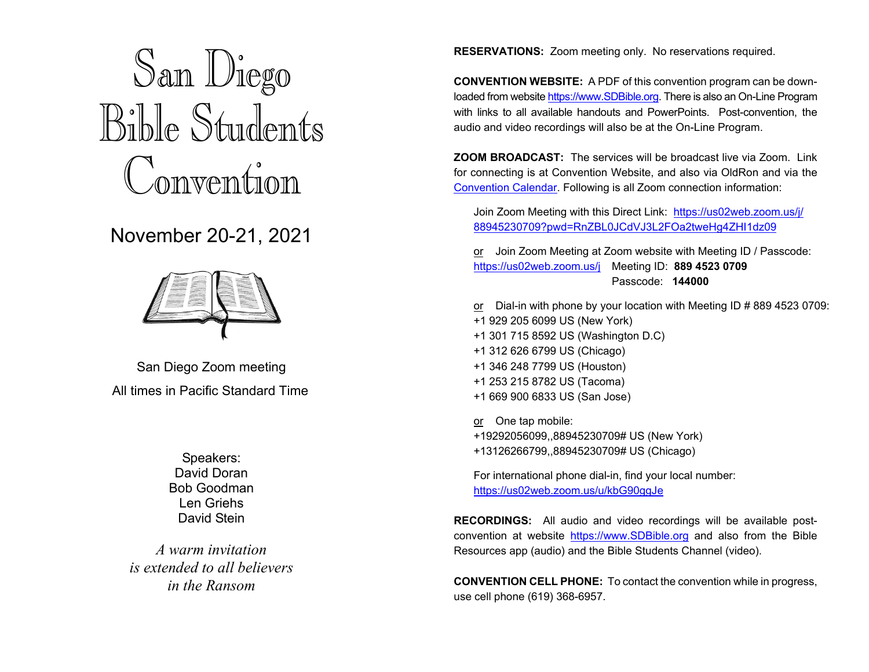# San Diego Bible Students Convention

### November 20-21, 2021



San Diego Zoom meeting All times in Pacific Standard Time

> Speakers: David Doran Bob Goodman Len Griehs David Stein

*A warm invitation is extended to all believers in the Ransom* 

**RESERVATIONS:** Zoom meeting only. No reservations required.

**CONVENTION WEBSITE:** A PDF of this convention program can be downloaded from website [https://www.SDBible.org. T](https://www.SDBible.org)here is also an On-Line Program with links to all available handouts and PowerPoints. Post-convention, the audio and video recordings will also be at the On-Line Program.

**ZOOM BROADCAST:** The services will be broadcast live via Zoom. Link for connecting is at Convention Website, and also via OldRon and via the [Convention Calendar.](https://www.brownbearsw.com/hosted/WB?Op=PopupWindow&Amount=Month&NavType=Absolute&Type=Block&CalendarName=Conventions&Date=2021/11/15&ID=887&Source=) Following is all Zoom connection information:

Join Zoom Meeting with this Direct Link: [https://us02web.zoom.us/j/](https://us02web.zoom.us/j/88945230709?pwd=RnZBL0JCdVJ3L2FOa2tweHg4ZHI1dz09)  [88945230709?pwd=RnZBL0JCdVJ3L2FOa2tweHg4ZHI1dz09](https://us02web.zoom.us/j/88945230709?pwd=RnZBL0JCdVJ3L2FOa2tweHg4ZHI1dz09) 

or Join Zoom Meeting at Zoom website with Meeting ID / Passcode: <https://us02web.zoom.us/j>Meeting ID: **889 4523 0709**  Passcode: **144000** 

or Dial-in with phone by your location with Meeting ID # 889 4523 0709: +1 929 205 6099 US (New York) +1 301 715 8592 US (Washington D.C) +1 312 626 6799 US (Chicago) +1 346 248 7799 US (Houston) +1 253 215 8782 US (Tacoma) +1 669 900 6833 US (San Jose)

or One tap mobile:

+19292056099,,88945230709# US (New York)

+13126266799,,88945230709# US (Chicago)

For international phone dial-in, find your local number: <https://us02web.zoom.us/u/kbG90ggJe>

**RECORDINGS:** All audio and video recordings will be available postconvention at website [https://www.SDBible.org a](https://www.SDBible.org)nd also from the Bible Resources app (audio) and the Bible Students Channel (video).

**CONVENTION CELL PHONE:** To contact the convention while in progress, use cell phone (619) 368-6957.